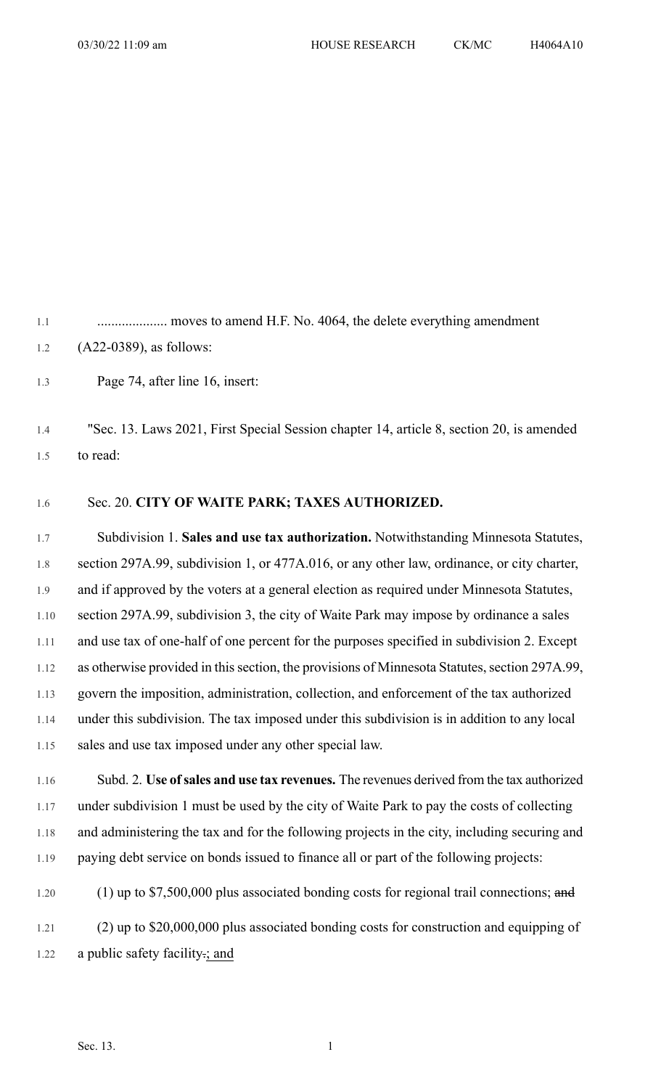1.1 .................... moves to amend H.F. No. 4064, the delete everything amendment 1.2 (A22-0389), as follows:

1.3 Page 74, after line 16, insert:

1.4 "Sec. 13. Laws 2021, First Special Session chapter 14, article 8, section 20, is amended 1.5 to read:

## 1.6 Sec. 20. **CITY OF WAITE PARK; TAXES AUTHORIZED.**

1.7 Subdivision 1. **Sales and use tax authorization.** Notwithstanding Minnesota Statutes, 1.8 section 297A.99, subdivision 1, or 477A.016, or any other law, ordinance, or city charter, 1.9 and if approved by the voters at a general election as required under Minnesota Statutes, 1.10 section 297A.99, subdivision 3, the city of Waite Park may impose by ordinance a sales 1.11 and use tax of one-half of one percent for the purposes specified in subdivision 2. Except 1.12 as otherwise provided in this section, the provisions of Minnesota Statutes, section 297A.99, 1.13 govern the imposition, administration, collection, and enforcement of the tax authorized 1.14 under this subdivision. The tax imposed under this subdivision is in addition to any local 1.15 sales and use tax imposed under any other special law.

1.16 Subd. 2. **Use ofsales and use tax revenues.** The revenues derived from the tax authorized 1.17 under subdivision 1 must be used by the city of Waite Park to pay the costs of collecting 1.18 and administering the tax and for the following projects in the city, including securing and 1.19 paying debt service on bonds issued to finance all or part of the following projects:

1.20 (1) up to \$7,500,000 plus associated bonding costs for regional trail connections; and 1.21 (2) up to \$20,000,000 plus associated bonding costs for construction and equipping of 1.22 a public safety facility.; and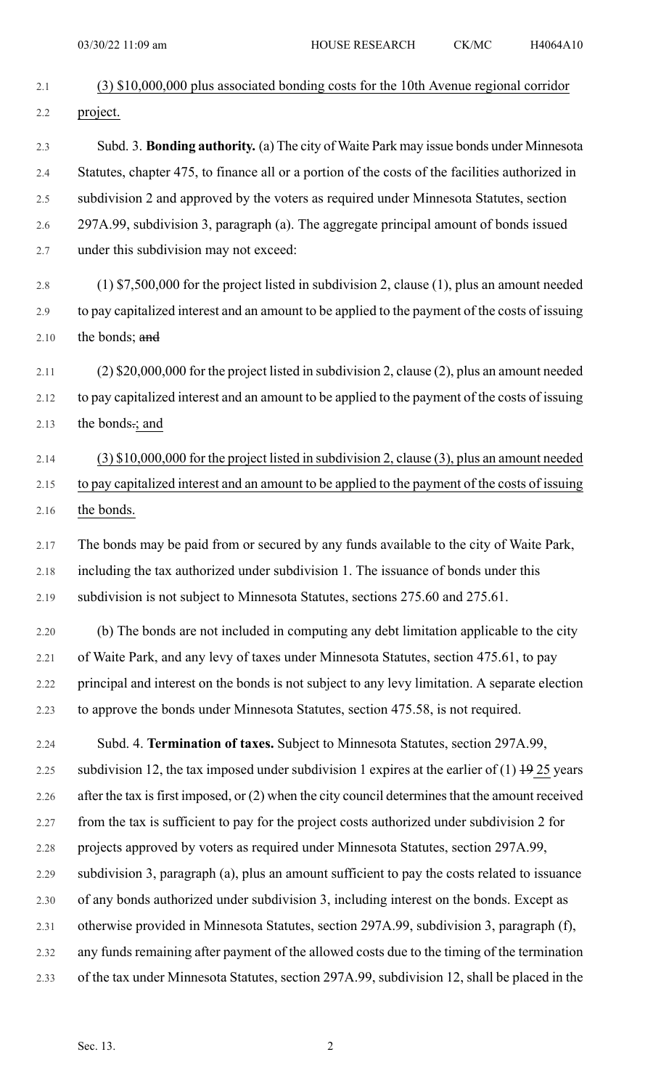| 2.1  | $(3)$ \$10,000,000 plus associated bonding costs for the 10th Avenue regional corridor             |
|------|----------------------------------------------------------------------------------------------------|
| 2.2  | project.                                                                                           |
| 2.3  | Subd. 3. Bonding authority. (a) The city of Waite Park may issue bonds under Minnesota             |
| 2.4  | Statutes, chapter 475, to finance all or a portion of the costs of the facilities authorized in    |
| 2.5  | subdivision 2 and approved by the voters as required under Minnesota Statutes, section             |
| 2.6  | 297A.99, subdivision 3, paragraph (a). The aggregate principal amount of bonds issued              |
| 2.7  | under this subdivision may not exceed:                                                             |
| 2.8  | $(1)$ \$7,500,000 for the project listed in subdivision 2, clause (1), plus an amount needed       |
| 2.9  | to pay capitalized interest and an amount to be applied to the payment of the costs of issuing     |
| 2.10 | the bonds; and                                                                                     |
| 2.11 | $(2)$ \$20,000,000 for the project listed in subdivision 2, clause (2), plus an amount needed      |
| 2.12 | to pay capitalized interest and an amount to be applied to the payment of the costs of issuing     |
| 2.13 | the bonds.; and                                                                                    |
| 2.14 | $(3)$ \$10,000,000 for the project listed in subdivision 2, clause (3), plus an amount needed      |
| 2.15 | to pay capitalized interest and an amount to be applied to the payment of the costs of issuing     |
| 2.16 | the bonds.                                                                                         |
| 2.17 | The bonds may be paid from or secured by any funds available to the city of Waite Park,            |
| 2.18 | including the tax authorized under subdivision 1. The issuance of bonds under this                 |
| 2.19 | subdivision is not subject to Minnesota Statutes, sections 275.60 and 275.61.                      |
| 2.20 | (b) The bonds are not included in computing any debt limitation applicable to the city             |
| 2.21 | of Waite Park, and any levy of taxes under Minnesota Statutes, section 475.61, to pay              |
| 2.22 | principal and interest on the bonds is not subject to any levy limitation. A separate election     |
| 2.23 | to approve the bonds under Minnesota Statutes, section 475.58, is not required.                    |
| 2.24 | Subd. 4. Termination of taxes. Subject to Minnesota Statutes, section 297A.99,                     |
| 2.25 | subdivision 12, the tax imposed under subdivision 1 expires at the earlier of $(1)$ + $9$ 25 years |
| 2.26 | after the tax is first imposed, or (2) when the city council determines that the amount received   |
| 2.27 | from the tax is sufficient to pay for the project costs authorized under subdivision 2 for         |
| 2.28 | projects approved by voters as required under Minnesota Statutes, section 297A.99,                 |
| 2.29 | subdivision 3, paragraph (a), plus an amount sufficient to pay the costs related to issuance       |
| 2.30 | of any bonds authorized under subdivision 3, including interest on the bonds. Except as            |
| 2.31 |                                                                                                    |
|      | otherwise provided in Minnesota Statutes, section 297A.99, subdivision 3, paragraph (f),           |
| 2.32 | any funds remaining after payment of the allowed costs due to the timing of the termination        |